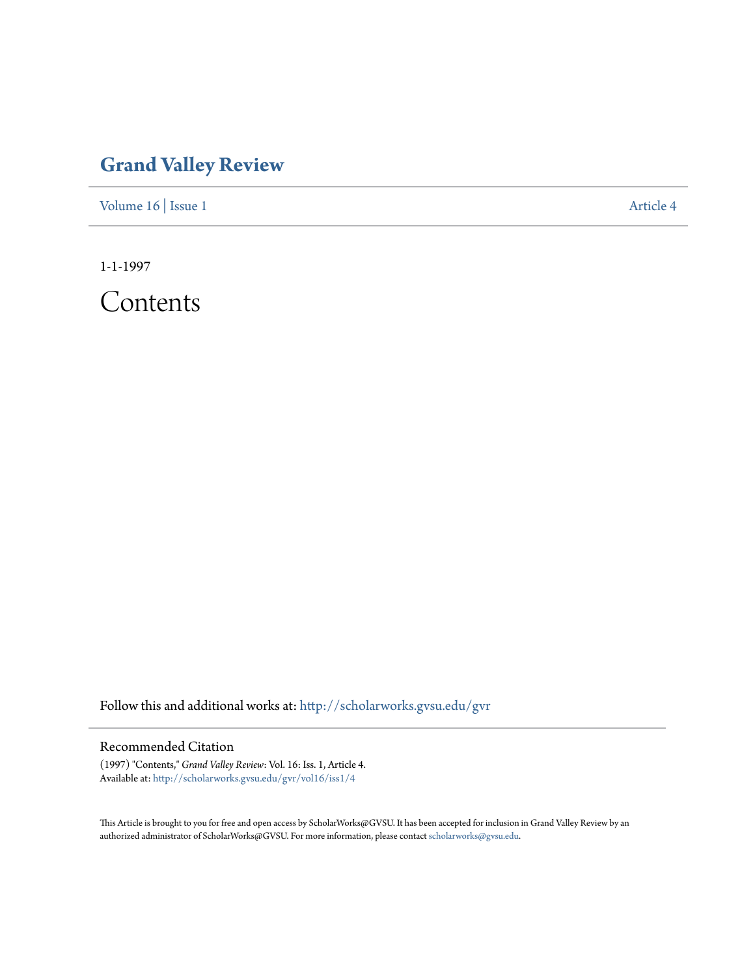## **[Grand Valley Review](http://scholarworks.gvsu.edu/gvr?utm_source=scholarworks.gvsu.edu%2Fgvr%2Fvol16%2Fiss1%2F4&utm_medium=PDF&utm_campaign=PDFCoverPages)**

[Volume 16](http://scholarworks.gvsu.edu/gvr/vol16?utm_source=scholarworks.gvsu.edu%2Fgvr%2Fvol16%2Fiss1%2F4&utm_medium=PDF&utm_campaign=PDFCoverPages) | [Issue 1](http://scholarworks.gvsu.edu/gvr/vol16/iss1?utm_source=scholarworks.gvsu.edu%2Fgvr%2Fvol16%2Fiss1%2F4&utm_medium=PDF&utm_campaign=PDFCoverPages) [Article 4](http://scholarworks.gvsu.edu/gvr/vol16/iss1/4?utm_source=scholarworks.gvsu.edu%2Fgvr%2Fvol16%2Fiss1%2F4&utm_medium=PDF&utm_campaign=PDFCoverPages)

1-1-1997

Contents

Follow this and additional works at: [http://scholarworks.gvsu.edu/gvr](http://scholarworks.gvsu.edu/gvr?utm_source=scholarworks.gvsu.edu%2Fgvr%2Fvol16%2Fiss1%2F4&utm_medium=PDF&utm_campaign=PDFCoverPages)

## Recommended Citation

(1997) "Contents," *Grand Valley Review*: Vol. 16: Iss. 1, Article 4. Available at: [http://scholarworks.gvsu.edu/gvr/vol16/iss1/4](http://scholarworks.gvsu.edu/gvr/vol16/iss1/4?utm_source=scholarworks.gvsu.edu%2Fgvr%2Fvol16%2Fiss1%2F4&utm_medium=PDF&utm_campaign=PDFCoverPages)

This Article is brought to you for free and open access by ScholarWorks@GVSU. It has been accepted for inclusion in Grand Valley Review by an authorized administrator of ScholarWorks@GVSU. For more information, please contact [scholarworks@gvsu.edu.](mailto:scholarworks@gvsu.edu)